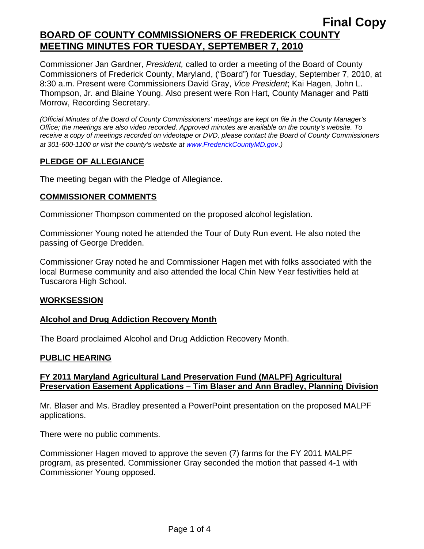Commissioner Jan Gardner, *President,* called to order a meeting of the Board of County Commissioners of Frederick County, Maryland, ("Board") for Tuesday, September 7, 2010, at 8:30 a.m. Present were Commissioners David Gray, *Vice President*; Kai Hagen, John L. Thompson, Jr. and Blaine Young. Also present were Ron Hart, County Manager and Patti Morrow, Recording Secretary.

*(Official Minutes of the Board of County Commissioners' meetings are kept on file in the County Manager's Office; the meetings are also video recorded. Approved minutes are available on the county's website. To receive a copy of meetings recorded on videotape or DVD, please contact the Board of County Commissioners at 301-600-1100 or visit the county's website at [www.FrederickCountyMD.gov](http://www.frederickcountymd.gov/)*.*)* 

# **PLEDGE OF ALLEGIANCE**

The meeting began with the Pledge of Allegiance.

## **COMMISSIONER COMMENTS**

Commissioner Thompson commented on the proposed alcohol legislation.

Commissioner Young noted he attended the Tour of Duty Run event. He also noted the passing of George Dredden.

Commissioner Gray noted he and Commissioner Hagen met with folks associated with the local Burmese community and also attended the local Chin New Year festivities held at Tuscarora High School.

## **WORKSESSION**

## **Alcohol and Drug Addiction Recovery Month**

The Board proclaimed Alcohol and Drug Addiction Recovery Month.

## **PUBLIC HEARING**

## **FY 2011 Maryland Agricultural Land Preservation Fund (MALPF) Agricultural Preservation Easement Applications – Tim Blaser and Ann Bradley, Planning Division**

Mr. Blaser and Ms. Bradley presented a PowerPoint presentation on the proposed MALPF applications.

There were no public comments.

Commissioner Hagen moved to approve the seven (7) farms for the FY 2011 MALPF program, as presented. Commissioner Gray seconded the motion that passed 4-1 with Commissioner Young opposed.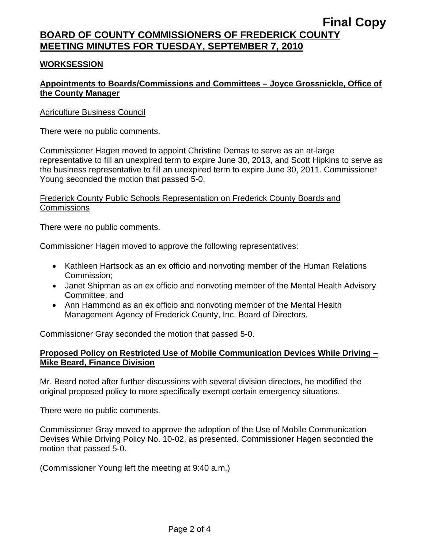## **WORKSESSION**

# **Appointments to Boards/Commissions and Committees – Joyce Grossnickle, Office of the County Manager**

### Agriculture Business Council

There were no public comments.

Commissioner Hagen moved to appoint Christine Demas to serve as an at-large representative to fill an unexpired term to expire June 30, 2013, and Scott Hipkins to serve as the business representative to fill an unexpired term to expire June 30, 2011. Commissioner Young seconded the motion that passed 5-0.

### Frederick County Public Schools Representation on Frederick County Boards and **Commissions**

There were no public comments.

Commissioner Hagen moved to approve the following representatives:

- Kathleen Hartsock as an ex officio and nonvoting member of the Human Relations Commission;
- Janet Shipman as an ex officio and nonvoting member of the Mental Health Advisory Committee; and
- Ann Hammond as an ex officio and nonvoting member of the Mental Health Management Agency of Frederick County, Inc. Board of Directors.

Commissioner Gray seconded the motion that passed 5-0.

### **Proposed Policy on Restricted Use of Mobile Communication Devices While Driving – Mike Beard, Finance Division**

Mr. Beard noted after further discussions with several division directors, he modified the original proposed policy to more specifically exempt certain emergency situations.

There were no public comments.

Commissioner Gray moved to approve the adoption of the Use of Mobile Communication Devises While Driving Policy No. 10-02, as presented. Commissioner Hagen seconded the motion that passed 5-0.

(Commissioner Young left the meeting at 9:40 a.m.)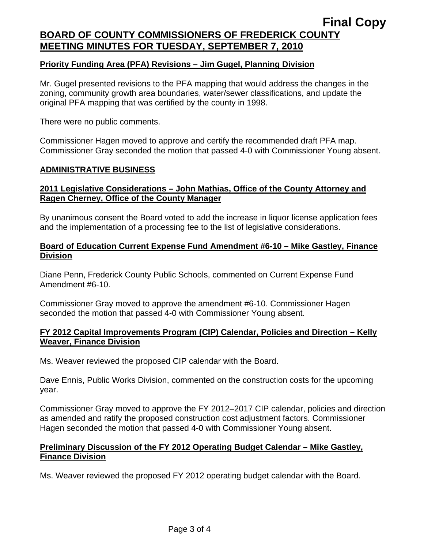### **Priority Funding Area (PFA) Revisions – Jim Gugel, Planning Division**

Mr. Gugel presented revisions to the PFA mapping that would address the changes in the zoning, community growth area boundaries, water/sewer classifications, and update the original PFA mapping that was certified by the county in 1998.

There were no public comments.

Commissioner Hagen moved to approve and certify the recommended draft PFA map. Commissioner Gray seconded the motion that passed 4-0 with Commissioner Young absent.

#### **ADMINISTRATIVE BUSINESS**

### **2011 Legislative Considerations – John Mathias, Office of the County Attorney and Ragen Cherney, Office of the County Manager**

By unanimous consent the Board voted to add the increase in liquor license application fees and the implementation of a processing fee to the list of legislative considerations.

### **Board of Education Current Expense Fund Amendment #6-10 – Mike Gastley, Finance Division**

Diane Penn, Frederick County Public Schools, commented on Current Expense Fund Amendment #6-10.

Commissioner Gray moved to approve the amendment #6-10. Commissioner Hagen seconded the motion that passed 4-0 with Commissioner Young absent.

### **FY 2012 Capital Improvements Program (CIP) Calendar, Policies and Direction – Kelly Weaver, Finance Division**

Ms. Weaver reviewed the proposed CIP calendar with the Board.

Dave Ennis, Public Works Division, commented on the construction costs for the upcoming year.

Commissioner Gray moved to approve the FY 2012–2017 CIP calendar, policies and direction as amended and ratify the proposed construction cost adjustment factors. Commissioner Hagen seconded the motion that passed 4-0 with Commissioner Young absent.

## **Preliminary Discussion of the FY 2012 Operating Budget Calendar – Mike Gastley, Finance Division**

Ms. Weaver reviewed the proposed FY 2012 operating budget calendar with the Board.